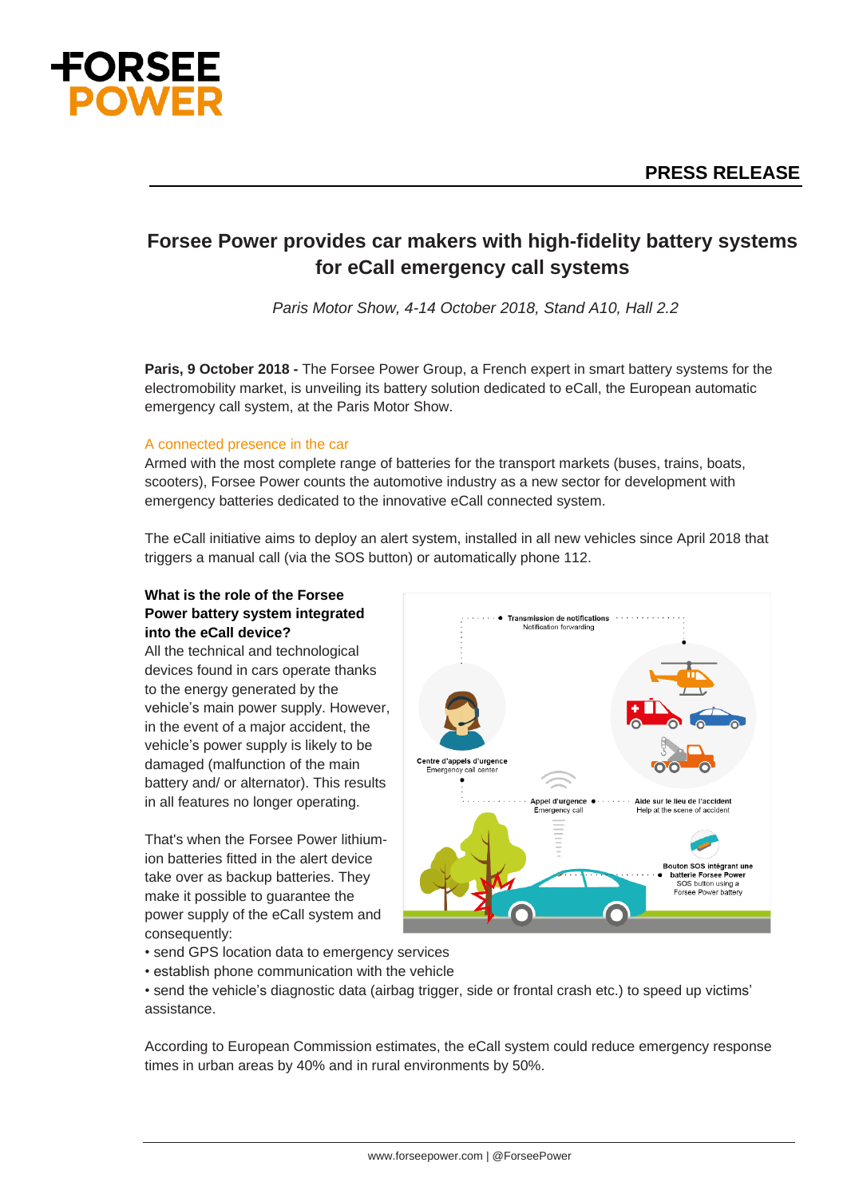

# **Forsee Power provides car makers with high-fidelity battery systems for eCall emergency call systems**

*Paris Motor Show, 4-14 October 2018, Stand A10, Hall 2.2*

**Paris, 9 October 2018 -** The Forsee Power Group, a French expert in smart battery systems for the electromobility market, is unveiling its battery solution dedicated to eCall, the European automatic emergency call system, at the Paris Motor Show.

### A connected presence in the car

Armed with the most complete range of batteries for the transport markets (buses, trains, boats, scooters), Forsee Power counts the automotive industry as a new sector for development with emergency batteries dedicated to the innovative eCall connected system.

The eCall initiative aims to deploy an alert system, installed in all new vehicles since April 2018 that triggers a manual call (via the SOS button) or automatically phone 112.

## **What is the role of the Forsee Power battery system integrated into the eCall device?**

All the technical and technological devices found in cars operate thanks to the energy generated by the vehicle's main power supply. However, in the event of a major accident, the vehicle's power supply is likely to be damaged (malfunction of the main battery and/ or alternator). This results in all features no longer operating.

That's when the Forsee Power lithiumion batteries fitted in the alert device take over as backup batteries. They make it possible to guarantee the power supply of the eCall system and consequently:



- send GPS location data to emergency services
- establish phone communication with the vehicle

• send the vehicle's diagnostic data (airbag trigger, side or frontal crash etc.) to speed up victims' assistance.

According to European Commission estimates, the eCall system could reduce emergency response times in urban areas by 40% and in rural environments by 50%.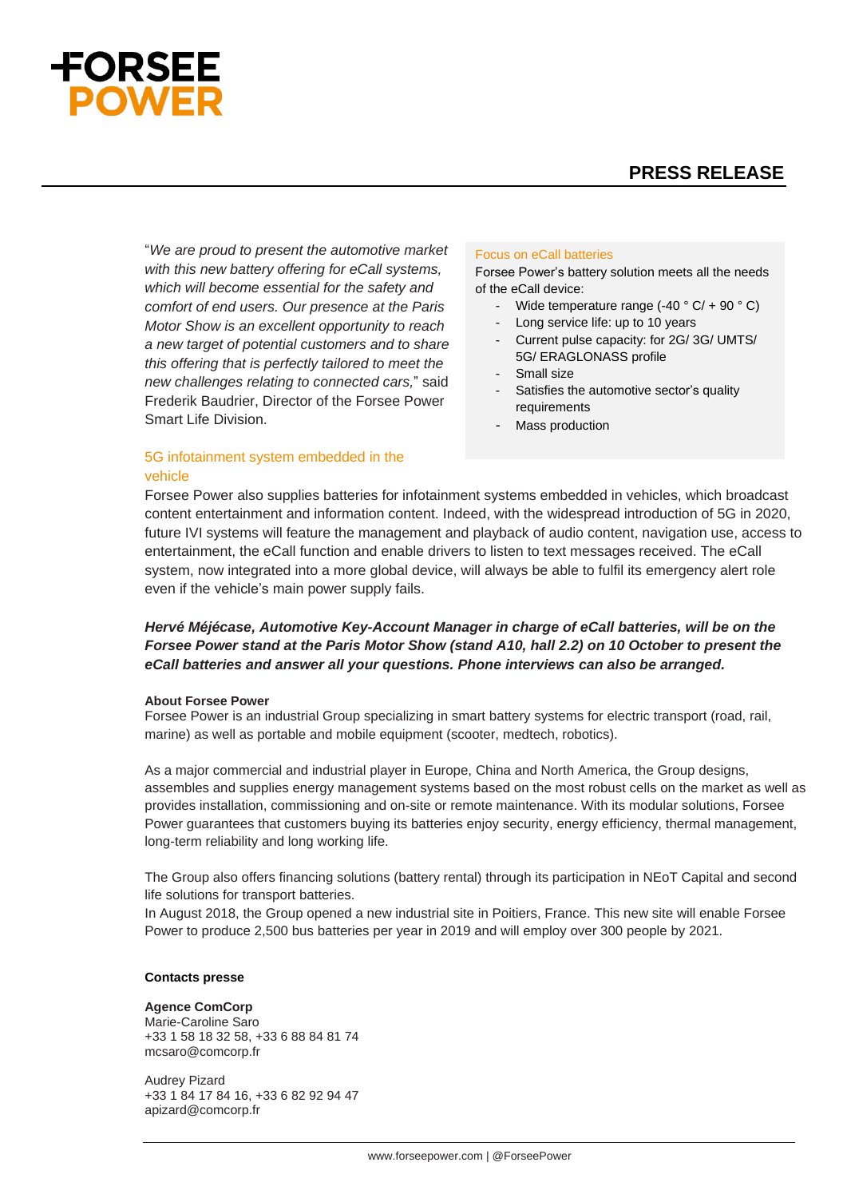# **ORSEE**

# **PRESS RELEASE**

"*We are proud to present the automotive market with this new battery offering for eCall systems, which will become essential for the safety and comfort of end users. Our presence at the Paris Motor Show is an excellent opportunity to reach a new target of potential customers and to share this offering that is perfectly tailored to meet the new challenges relating to connected cars,*" said Frederik Baudrier, Director of the Forsee Power Smart Life Division.

## 5G infotainment system embedded in the vehicle

#### Focus on eCall batteries

Forsee Power's battery solution meets all the needs of the eCall device:

- Wide temperature range  $(-40 \degree C) + 90 \degree C$
- Long service life: up to 10 years
- Current pulse capacity: for 2G/ 3G/ UMTS/ 5G/ ERAGLONASS profile
- Small size
- Satisfies the automotive sector's quality requirements
- Mass production

Forsee Power also supplies batteries for infotainment systems embedded in vehicles, which broadcast content entertainment and information content. Indeed, with the widespread introduction of 5G in 2020, future IVI systems will feature the management and playback of audio content, navigation use, access to entertainment, the eCall function and enable drivers to listen to text messages received. The eCall system, now integrated into a more global device, will always be able to fulfil its emergency alert role even if the vehicle's main power supply fails.

## *Hervé Méjécase, Automotive Key-Account Manager in charge of eCall batteries, will be on the Forsee Power stand at the Paris Motor Show (stand A10, hall 2.2) on 10 October to present the eCall batteries and answer all your questions. Phone interviews can also be arranged.*

#### **About Forsee Power**

Forsee Power is an industrial Group specializing in smart battery systems for electric transport (road, rail, marine) as well as portable and mobile equipment (scooter, medtech, robotics).

As a major commercial and industrial player in Europe, China and North America, the Group designs, assembles and supplies energy management systems based on the most robust cells on the market as well as provides installation, commissioning and on-site or remote maintenance. With its modular solutions, Forsee Power guarantees that customers buying its batteries enjoy security, energy efficiency, thermal management, long-term reliability and long working life.

The Group also offers financing solutions (battery rental) through its participation in NEoT Capital and second life solutions for transport batteries.

In August 2018, the Group opened a new industrial site in Poitiers, France. This new site will enable Forsee Power to produce 2,500 bus batteries per year in 2019 and will employ over 300 people by 2021.

#### **Contacts presse**

#### **Agence ComCorp**

Marie-Caroline Saro +33 1 58 18 32 58, +33 6 88 84 81 74 [mcsaro@comcorp.fr](mailto:mcsaro@comcorp.fr)

Audrey Pizard +33 1 84 17 84 16, +33 6 82 92 94 47 apizard@comcorp.fr